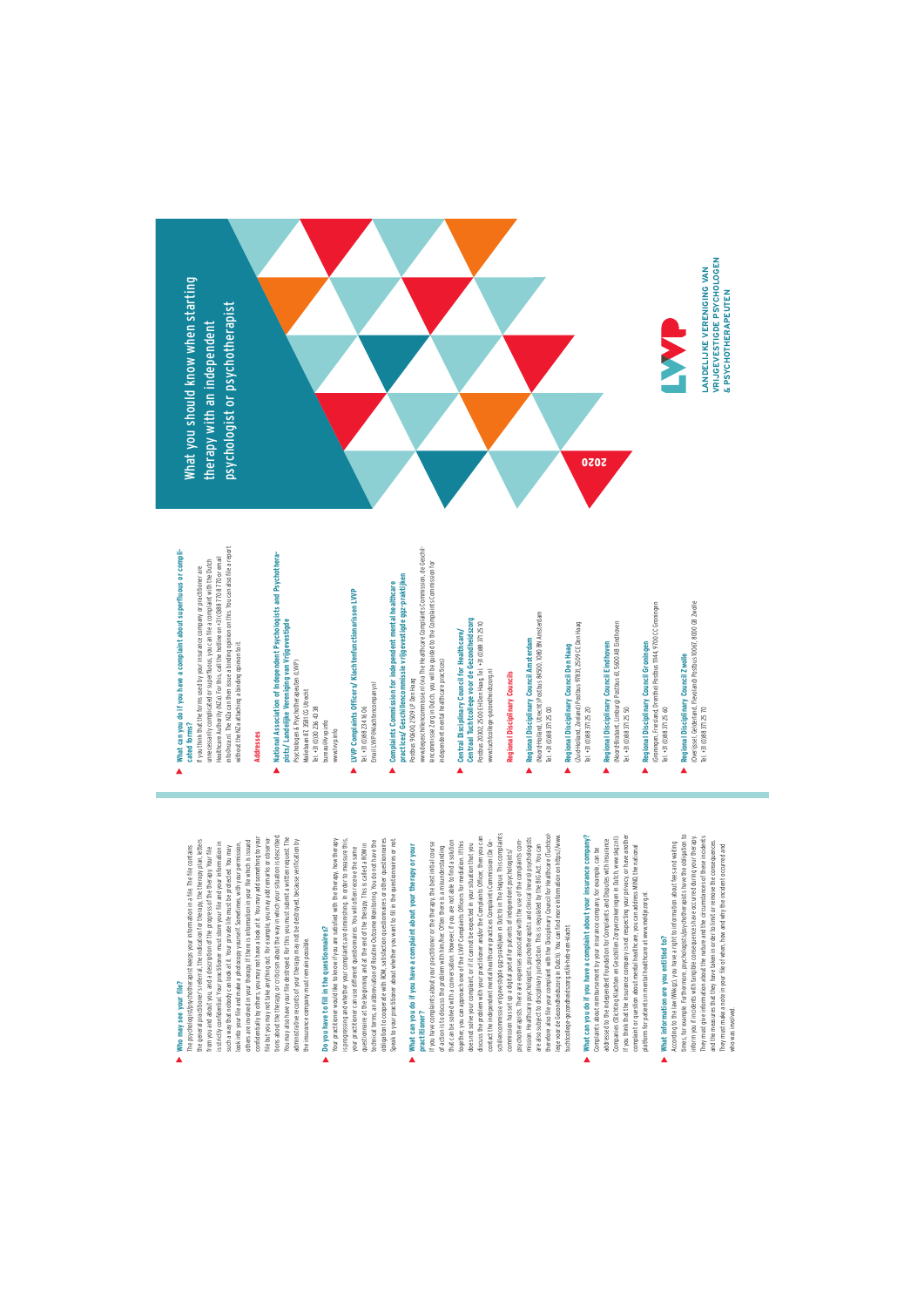# **Who may see your file?**

 $\blacktriangle$ 

tions about the therapy, or criticism about the way in which your situation is described. others are involved in your therapy. If there is information in your file which is issued<br>confidentially by others, you may not have a look at it. You may add something to your confidentially by others, you may not have a look at it. You may add something to your tions about the therapy, or criticism about the way in which your situation is described. You may also have your file destroyed. For this you must submit a written request. The<br>administrative records of your therapy may not be destroyed, because verification by the general practitioner's referral, the indication for therapy, the therapy plan, letters<br>from you and about you, and a description of the progress of the therapy. Your file You may also have your file destroyed. For this you must submit a written request. The the general practitioner's referral, the indication for therapy, the therapy plan, letters is strictly confidential. Your practitioner must store your file and your information in others are involved in your therapy. If there is information in your file which is issued file but you may not take anything out. For example, you may add remarks or observa file but you may not take anything out. For example, you may add remarks or observaadministrative records of your therapy may not be destroyed, because verification by is strictly confidential. Your practitioner must store your file and your information in look into your file and make a photocopy yourself. Sometimes, with your permission, The psychologist/psychotherapist keeps your information in a file. The file contains such a way that nobody can look at it. Your private life must be protected. You may from you and about you, and a description of the progress of the therapy. Your file the insurance company must remain possible. the insurance company must remain possible.

# **Do you have to fill in the questionnaires?** Do you have to fill in the questionnaires?

Your practitioner would like to know if you are satisfied with the therapy, how therapy is progressing and whether your complaints are diminishing. In order to measure this, questionnaire at the beginning and at the end of the therapy. This is called a ROM interfactional terms, an abbreviation of Routine Outcome Monitoring. You do not have the obligation to cooperate with ROM, satisfaction questionnaires or other questionnaire s.<br>Speak to your practitioner about whether you want to fill in the questionnaires or not. obligation to cooperate with ROM, satisfaction questionnaires or other questionnaires. Your practitioner would like to know if you are satisfied with the therapy, how therapy is progressing and whether your complaints are diminishing. In order to measure this, technical terms, an abbreviation of Routine Outcome Monitoring. You do not have the Speak to your practitioner about whether you want to fill in the questionnaires or not. questionnaire at the beginning and at the end of the therapy. This is called a ROM in your practitioner can use different questionnaires. You will often receive the same your practitioner can use different questionnaires. You will often receive the same

### What can you do if you have a complaint about your therapy or your **What can you do if you have a complaint about your therapy or your practitioner?** practitioner?  $\blacktriangle$

schilencommissie wijgevestigde ogz-praktijken in Dutch) in The Hague. This complaints<br>commission has set up a digital portal for patients of independent psychologists/ schillencommissie vrijgevestigde ggz-praktijken in Dutch) in The Hague. This complaints are also subject to disciplinary jurisdiction. This is regulated by the BIG Act. You can<br>therefore also file your complaint with the Disciplinary Council for Healthcare (Tuchtcoldiscuss the problem with your practitioner and/or the Complaints Officer, then you can discuss the problem with your practitioner and/or the Complaints Officer, then you can therefore also file your complaint with the Disciplinary Council for Healthcare (Tuchtcollege voor de Gezondheidszorg in Dutch). You can find more information on https://www. of action is to discuss the problem with him/her. Often there is a misunderstanding<br>that can be solved with a conversation. However, if you are not able to find a soution<br>together, you can approach one of the LWP Complaint mission. Healthcare psychologists, psychotherapists and clinical (neuro) psychologists mission. Healthcare psychologists, psychotherapists and clinical (neuro) psychologists lege voor de Gezondheidszorg in Dutch). You can find more information on https://www. that can be solved with a conversation. However, if you are not able to find a solution contact the independent mental healthcare practices Complaints Commission (De Gepsychotherapists. There are expenses associated with the use of the complaints com-If you have complaints about your practitioner or the therapy, the best initial course If you have complaints about your practitioner or the therapy, the best initial course together, you can approach one of the LVVP Complaints Officers for mediation. If this contact the independent mental healthcare practices Complaints Commission (De Gepsychotherapists. There are expenses associated with the use of the complaints comdoes not solve your complaint, or if it cannot be expected in your situation that you does not solve your complaint, or if it cannot be expected in your situation that you are also subject to disciplinary jurisdiction. This is regulated by the BIG Act. You can of action is to discuss the problem with him/her. Often there is a misunderstanding commission has set up a digital portal for patients of independent psychologists/ tuchtcollege-gezondheidszorg.nl/ik-heb-een-klacht. tuchtcollege-gezondheidszorg.nl/ik-heb-een-klacht.

### What can you do if you have a complaint about your insurance company? **What can you do if you have a complaint about your insurance company?** Complaints about reimbursement by your insurance company, for example, can be Complaints about reimbursement by your insurance company, for example, can be  $\lambda$

If you think that the insurance company is not respecting your privacy, or have another Companies (Stichting Klachten en Geschillen Zorgverzekeringen in Dutch, www.skgz.nl). If you think that the insurance company is not respecting your privacy, or have another<br>complaint or question about mental healthcare, you can address MND, the national Companies (Stichting Klachten en Geschillen Zorgverzekeringen in Dutch, www.skg.z.nl). addressed to the independent Foundation for Complaints and Disputes with Insurance addressed to the independent Foundation for Complaints and Disputes with Insurance complaint or question about mental healthcare, you can address MIND, the national platform for patients in mental healthcare at www.meldjezorg.nl. platform for patients in mental healthcare at www.meldjezorg.nl.

### What information are you entitled to? **What information are you entitled to?**  $\blacktriangle$

times, for example. Furthermore, psychologists/psychotherapists have the obligation to They must give information about the nature and the circumstances of these incidents<br>and the measures that they have taken in order to fimit or remove the consequences. times, for example. Furthermore, psychologists/psychotherapists have the obligation to inform you if incidents with tangible consequences have occurred during your therapy. inform you if incidents with tangible consequences have occurred during your therapy. They must give information about the nature and the circumstances of these incidents According to the law (Wkkgz), you have a right to information about fees and waiting and the measures that they have taken in order to limit or remove the consequences. According to the law (Wkkgz), you have a right to information about fees and waiting They must make a note in your file of when, how and why the incident occurred and They must make a note in your file of when, how and why the incident occurred and vho was involved. who was involved.

# What can you do if you have a complaint about superfluous or compli-<br>cated forms? **What can you do if you have a complaint about superfluous or compli-** $\lambda$

info@nza.nl. The NZa can then issue a binding opinion on this. You can also file a report<br>without the NZa attaching a binding opinion to it. info@nza.nl. The NZa can then issue a binding opinion on this. You can also file a report Healthcare Authority (NZa). For this, call the hotline on +31 (0)88 770 8 770 or email unnecessarily complicated or superfluous, you can file a complaint with the Dutch unnecessarily complicated or superfluous, you can file a complaint with the Dutch Healthcare Authority (NZa). For this, call the hotline on +31 (0)88 770 8 770 or email If you think that the forms used by your insurance company or practitioner are If you think that the forms used by your insurance company or practitioner are without the NZa attaching a binding opinion to it. **cated forms?**

## **Addresses**

- National Association of Independent Psychologists and Psychothera-**National Association of Independent Psychologists and Psychothera**pists/ Landelijke Vereniging van Vrijgevestigde<br>Psychologen & Psychotherapeuten (LVVP)<br>Maliebaan 87,3581 CG Utrecht **pists/ Landelijke Vereniging van Vrijgevestigde** Psychologen & Psychotherapeuten (LVVP) Maliebaan 87, 3581 CG Utrecht  $\blacktriangle$ 
	- Tel. +31 (0) 30 236 43 38 Tel. +31 (0)30 236 43 38 bureau@lvvp.info bureau@lvvp.info www.lvvp.info www.lvvp.info
- LVVP Complaints Officers/ Klachtenfunctionarissen LVVP **LVVP Complaints Officers/ Klachtenfunctionarissen LVVP**  Tel. +31 (0) 88 234 16 06 Tel. +31 (0)88 234 16 06  $\blacktriangle$ 
	- Email LVVP@klachtencompany.nl
- nmissie vrijgevestigde ggz-praktijken **practices/ Geschillencommissie vrijgevestigde ggz-praktijken** Complaints Commission for independent mental healthcare **Complaints Commission for independent mental healthcare practices/ Geschillencommis**<br>Postbus 90600, 2509 LP Den Haag Postbus 90600, 2509 LP Den Haag
- www.degeschillencommissie.nl (via The Healthcare Complaints Commission, de Geschilwww.degeschillencommissie.nl (via The Healthcare Complaints Commission, de Geschillencommissie Zorg in Dutch, you will be guided to the Complaints Commission for lencommissie Zorg in Dutch, you will be guided to the Complaints Commission for independent mental healthcare practices) independent mental healthcare practices)
- Centraal Tuchtcollege voor de Gezondheidszorg<br>Postbus 20302, 2500 EH Den Haag, Tel. +31 (0)88 371 25 10 **Centraal Tuchtcollege voor de Gezondheidszorg**  Postbus 20302, 2500 EH Den Haag, Tel. +31 (0)88 371 25 10 Central Disciplinary Council for Healthcare/ **Central Disciplinary Council for Healthcare/** www.tuchtcollege-gezondheidszorg.nl

 $\blacktriangle$ 

### Regional Disciplinary Councils **Regional Disciplinary Councils**

www.tuchtcollege-gezondheidszorg.nl

- (Noord-Holland, Utrecht) Postbus 84500, 1080 BN Amsterdam (Noord-Holland, Utrecht) Postbus 84500, 1080 BN Amsterdam **Regional Disciplinary Council Amsterdam**  Tel. +31 (0) 88 371 25 00 Tel. +31 (0)88 371 25 00  $\blacktriangle$
- Regional Disciplinary Council Den Haag<br>(Zuid-Holland, Zeeland) Postbus 97831, 2509 CE Den Haag (Zuid-Holland, Zeeland) Postbus 97831, 2509 CE Den Haag **Regional Disciplinary Council Den Haag**  Tel. +31 (0) 88 371 25 20 Tel. +31 (0)88 371 25 20  $\blacktriangle$
- Regional Disciplinary Council Eindhoven<br>(Noord-Brabart, Limburg) Postbus 61, 5600 AB Eindhoven (Noord-Brabant, Limburg) Postbus 61, 5600 AB Eindhoven **Regional Disciplinary Council Eindhoven**  Tel. +31 (0) 88 371 25 50 Tel. +31 (0)88 371 25 50  $\blacktriangle$
- (Groningen, Friesland, Drenthe) Postbus III44, 9700 CC Groningen (Groningen, Friesland, Drenthe) Postbus 11144, 9700 CC Groningen Regional Disciplinary Council Groningen **Regional Disciplinary Council Groningen** Tel. +31 (0) 88 371 25 60 Tel. +31 (0)88 371 25 60  $\blacktriangle$
- Regional Disciplinary Council Zwolle<br>(Overjissel Gederland, Flevoland) Postbus 10067, 8000 GB Zwolle<br>Tel. +31 (0)88 371 25 70 (Overijssel, Gelderland, Flevoland) Postbus 10067, 8000 GB Zwolle **Regional Disciplinary Council Zwolle**   $\blacktriangle$

Tel. +31 (0)88 371 25 70



VRIJGEVESTIGDE PSYCHOLOGEN **VRIJGEVESTIGDE PSYCHOLOGEN LANDELIJKE VERENIGING VAN LANDELIJKE VERENIGING VAN**  & PSYCHOTHERAPEUTEN **& PSYCHOTHERAPEUTEN**